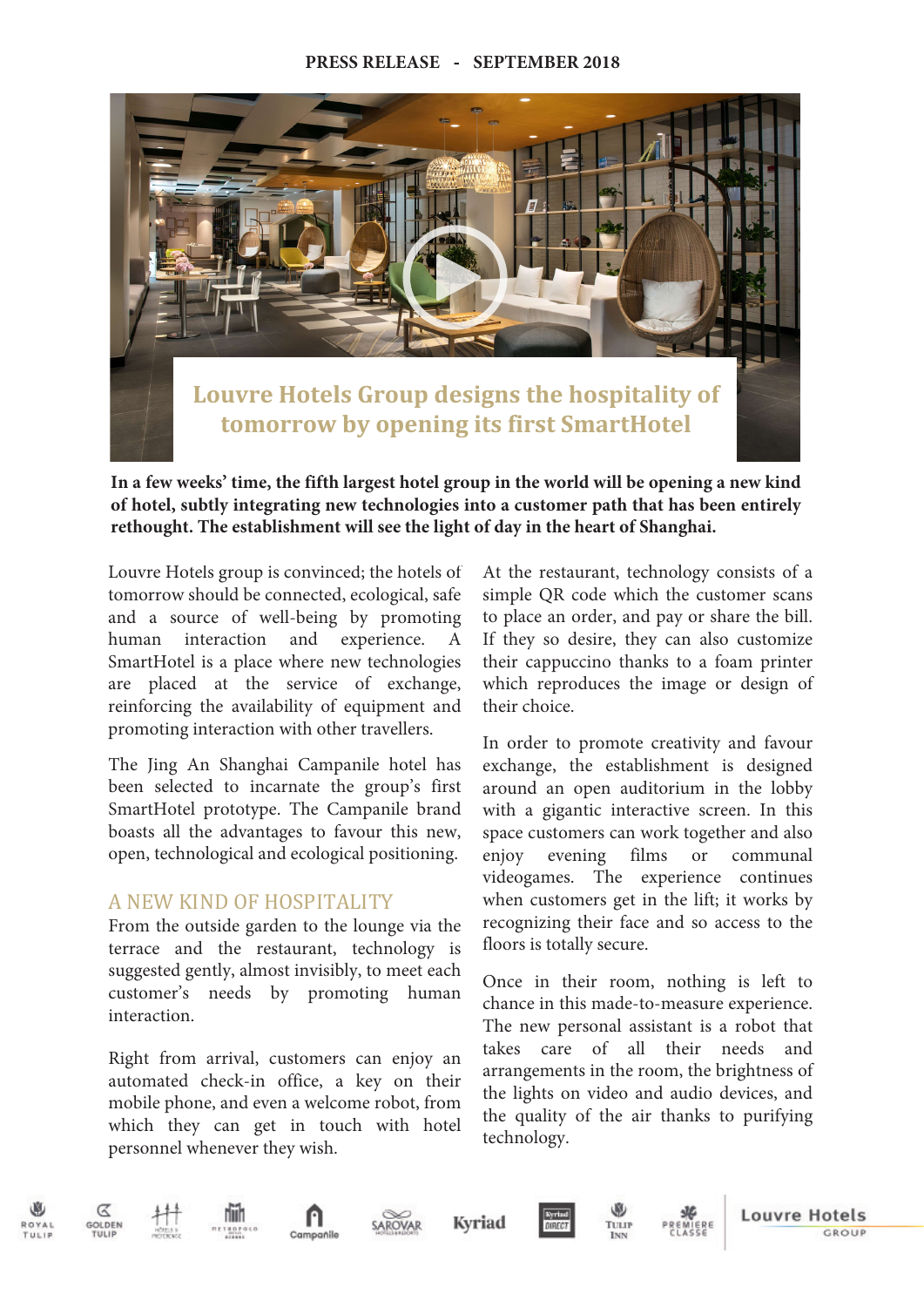## **PRESS RELEASE** - **SEPTEMBER 2018**



**In a few weeks' time, the fifth largest hotel group in the world will be opening a new kind of hotel, subtly integrating new technologies into a customer path that has been entirely rethought. The establishment will see the light of day in the heart of Shanghai.**

Louvre Hotels group is convinced; the hotels of tomorrow should be connected, ecological, safe and a source of well-being by promoting human interaction and experience. A SmartHotel is a place where new technologies are placed at the service of exchange, reinforcing the availability of equipment and promoting interaction with other travellers.

The Jing An Shanghai Campanile hotel has been selected to incarnate the group's first SmartHotel prototype. The Campanile brand boasts all the advantages to favour this new, open, technological and ecological positioning.

## A NEW KIND OF HOSPITALITY

From the outside garden to the lounge via the terrace and the restaurant, technology is suggested gently, almost invisibly, to meet each customer's needs by promoting human interaction.

Right from arrival, customers can enjoy an automated check-in office, a key on their mobile phone, and even a welcome robot, from which they can get in touch with hotel personnel whenever they wish.

At the restaurant, technology consists of a simple QR code which the customer scans to place an order, and pay or share the bill. If they so desire, they can also customize their cappuccino thanks to a foam printer which reproduces the image or design of their choice.

In order to promote creativity and favour exchange, the establishment is designed around an open auditorium in the lobby with a gigantic interactive screen. In this space customers can work together and also enjoy evening films or communal videogames. The experience continues when customers get in the lift; it works by recognizing their face and so access to the floors is totally secure.

Once in their room, nothing is left to chance in this made-to-measure experience. The new personal assistant is a robot that takes care of all their needs and arrangements in the room, the brightness of the lights on video and audio devices, and the quality of the air thanks to purifying technology.